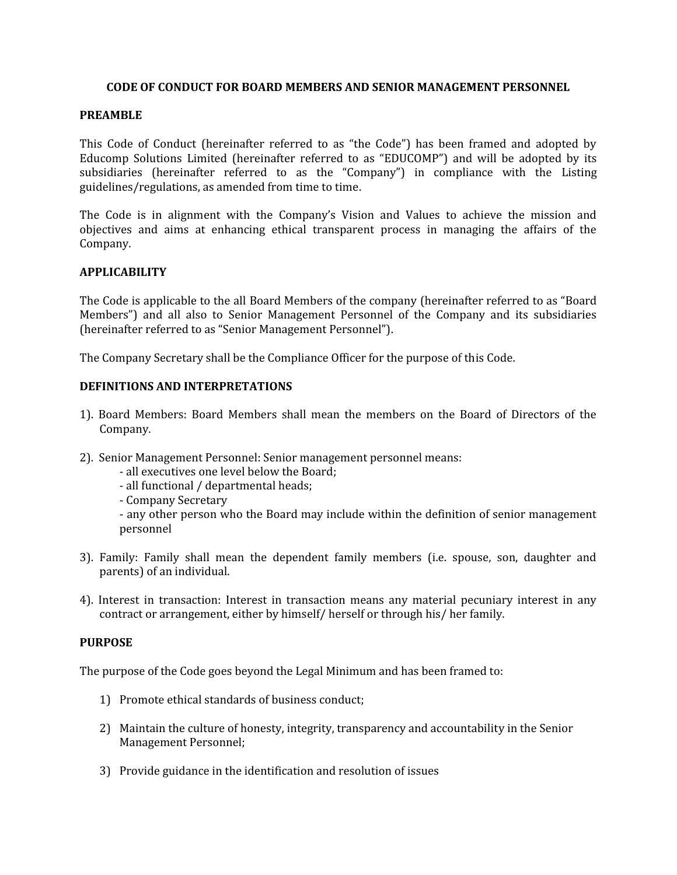### **CODE OF CONDUCT FOR BOARD MEMBERS AND SENIOR MANAGEMENT PERSONNEL**

#### **PREAMBLE**

This Code of Conduct (hereinafter referred to as "the Code") has been framed and adopted by Educomp Solutions Limited (hereinafter referred to as "EDUCOMP") and will be adopted by its subsidiaries (hereinafter referred to as the "Company") in compliance with the Listing guidelines/regulations, as amended from time to time.

The Code is in alignment with the Company's Vision and Values to achieve the mission and objectives and aims at enhancing ethical transparent process in managing the affairs of the Company.

#### **APPLICABILITY**

The Code is applicable to the all Board Members of the company (hereinafter referred to as "Board Members") and all also to Senior Management Personnel of the Company and its subsidiaries (hereinafter referred to as "Senior Management Personnel").

The Company Secretary shall be the Compliance Officer for the purpose of this Code.

### **DEFINITIONS AND INTERPRETATIONS**

- 1). Board Members: Board Members shall mean the members on the Board of Directors of the Company.
- 2). Senior Management Personnel: Senior management personnel means:
	- all executives one level below the Board;
	- all functional / departmental heads;
	- Company Secretary

- any other person who the Board may include within the definition of senior management personnel

- 3). Family: Family shall mean the dependent family members (i.e. spouse, son, daughter and parents) of an individual.
- 4). Interest in transaction: Interest in transaction means any material pecuniary interest in any contract or arrangement, either by himself/ herself or through his/ her family.

#### **PURPOSE**

The purpose of the Code goes beyond the Legal Minimum and has been framed to:

- 1) Promote ethical standards of business conduct;
- 2) Maintain the culture of honesty, integrity, transparency and accountability in the Senior Management Personnel;
- 3) Provide guidance in the identification and resolution of issues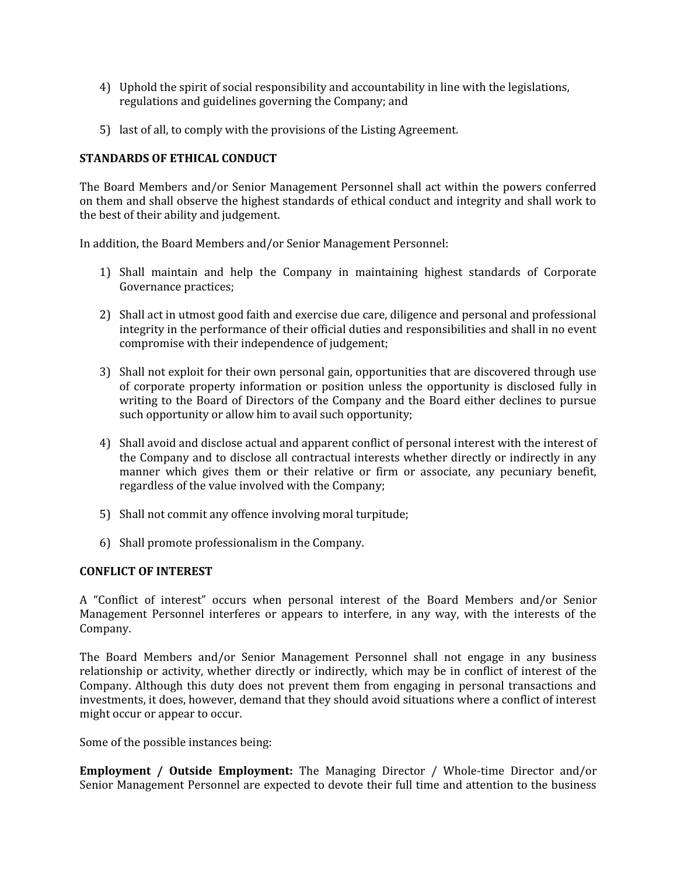- 4) Uphold the spirit of social responsibility and accountability in line with the legislations, regulations and guidelines governing the Company; and
- 5) last of all, to comply with the provisions of the Listing Agreement.

## **STANDARDS OF ETHICAL CONDUCT**

The Board Members and/or Senior Management Personnel shall act within the powers conferred on them and shall observe the highest standards of ethical conduct and integrity and shall work to the best of their ability and judgement.

In addition, the Board Members and/or Senior Management Personnel:

- 1) Shall maintain and help the Company in maintaining highest standards of Corporate Governance practices;
- 2) Shall act in utmost good faith and exercise due care, diligence and personal and professional integrity in the performance of their official duties and responsibilities and shall in no event compromise with their independence of judgement;
- 3) Shall not exploit for their own personal gain, opportunities that are discovered through use of corporate property information or position unless the opportunity is disclosed fully in writing to the Board of Directors of the Company and the Board either declines to pursue such opportunity or allow him to avail such opportunity;
- 4) Shall avoid and disclose actual and apparent conflict of personal interest with the interest of the Company and to disclose all contractual interests whether directly or indirectly in any manner which gives them or their relative or firm or associate, any pecuniary benefit, regardless of the value involved with the Company;
- 5) Shall not commit any offence involving moral turpitude;
- 6) Shall promote professionalism in the Company.

### **CONFLICT OF INTEREST**

A "Conflict of interest" occurs when personal interest of the Board Members and/or Senior Management Personnel interferes or appears to interfere, in any way, with the interests of the Company.

The Board Members and/or Senior Management Personnel shall not engage in any business relationship or activity, whether directly or indirectly, which may be in conflict of interest of the Company. Although this duty does not prevent them from engaging in personal transactions and investments, it does, however, demand that they should avoid situations where a conflict of interest might occur or appear to occur.

Some of the possible instances being:

**Employment / Outside Employment:** The Managing Director / Whole-time Director and/or Senior Management Personnel are expected to devote their full time and attention to the business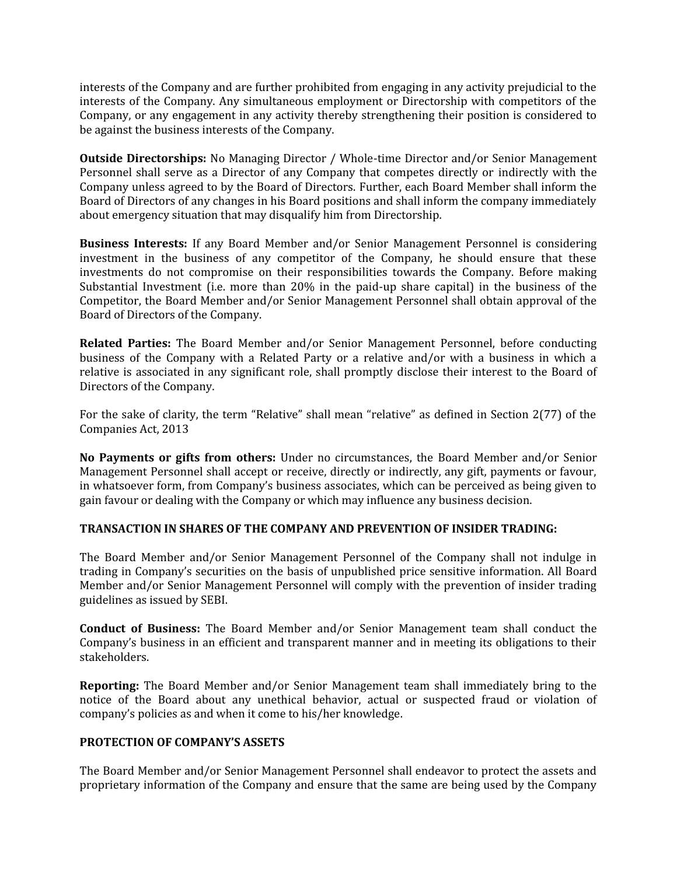interests of the Company and are further prohibited from engaging in any activity prejudicial to the interests of the Company. Any simultaneous employment or Directorship with competitors of the Company, or any engagement in any activity thereby strengthening their position is considered to be against the business interests of the Company.

**Outside Directorships:** No Managing Director / Whole-time Director and/or Senior Management Personnel shall serve as a Director of any Company that competes directly or indirectly with the Company unless agreed to by the Board of Directors. Further, each Board Member shall inform the Board of Directors of any changes in his Board positions and shall inform the company immediately about emergency situation that may disqualify him from Directorship.

**Business Interests:** If any Board Member and/or Senior Management Personnel is considering investment in the business of any competitor of the Company, he should ensure that these investments do not compromise on their responsibilities towards the Company. Before making Substantial Investment (i.e. more than 20% in the paid-up share capital) in the business of the Competitor, the Board Member and/or Senior Management Personnel shall obtain approval of the Board of Directors of the Company.

**Related Parties:** The Board Member and/or Senior Management Personnel, before conducting business of the Company with a Related Party or a relative and/or with a business in which a relative is associated in any significant role, shall promptly disclose their interest to the Board of Directors of the Company.

For the sake of clarity, the term "Relative" shall mean "relative" as defined in Section 2(77) of the Companies Act, 2013

**No Payments or gifts from others:** Under no circumstances, the Board Member and/or Senior Management Personnel shall accept or receive, directly or indirectly, any gift, payments or favour, in whatsoever form, from Company's business associates, which can be perceived as being given to gain favour or dealing with the Company or which may influence any business decision.

## **TRANSACTION IN SHARES OF THE COMPANY AND PREVENTION OF INSIDER TRADING:**

The Board Member and/or Senior Management Personnel of the Company shall not indulge in trading in Company's securities on the basis of unpublished price sensitive information. All Board Member and/or Senior Management Personnel will comply with the prevention of insider trading guidelines as issued by SEBI.

**Conduct of Business:** The Board Member and/or Senior Management team shall conduct the Company's business in an efficient and transparent manner and in meeting its obligations to their stakeholders.

**Reporting:** The Board Member and/or Senior Management team shall immediately bring to the notice of the Board about any unethical behavior, actual or suspected fraud or violation of company's policies as and when it come to his/her knowledge.

## **PROTECTION OF COMPANY'S ASSETS**

The Board Member and/or Senior Management Personnel shall endeavor to protect the assets and proprietary information of the Company and ensure that the same are being used by the Company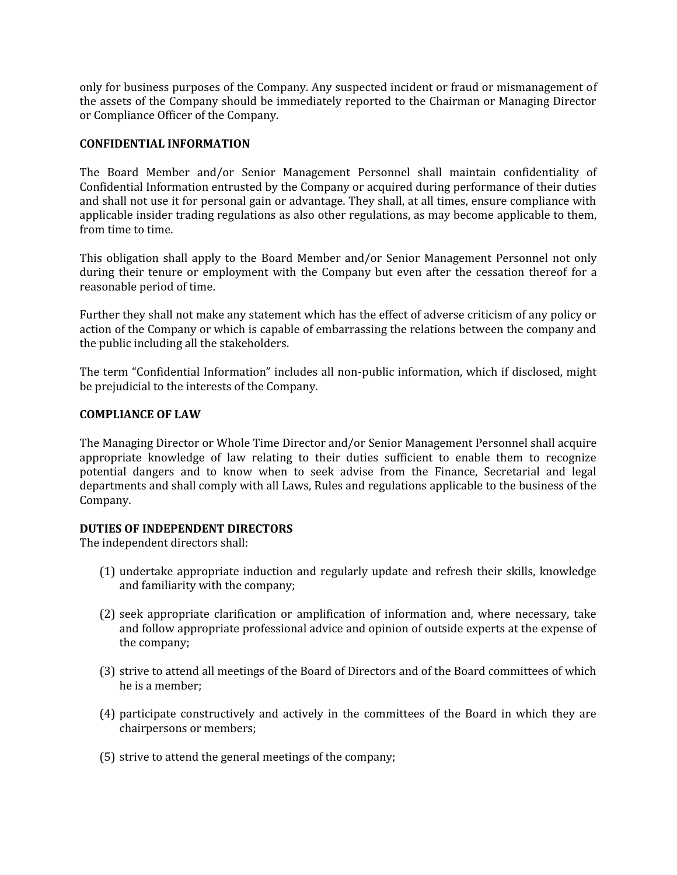only for business purposes of the Company. Any suspected incident or fraud or mismanagement of the assets of the Company should be immediately reported to the Chairman or Managing Director or Compliance Officer of the Company.

### **CONFIDENTIAL INFORMATION**

The Board Member and/or Senior Management Personnel shall maintain confidentiality of Confidential Information entrusted by the Company or acquired during performance of their duties and shall not use it for personal gain or advantage. They shall, at all times, ensure compliance with applicable insider trading regulations as also other regulations, as may become applicable to them, from time to time.

This obligation shall apply to the Board Member and/or Senior Management Personnel not only during their tenure or employment with the Company but even after the cessation thereof for a reasonable period of time.

Further they shall not make any statement which has the effect of adverse criticism of any policy or action of the Company or which is capable of embarrassing the relations between the company and the public including all the stakeholders.

The term "Confidential Information" includes all non-public information, which if disclosed, might be prejudicial to the interests of the Company.

### **COMPLIANCE OF LAW**

The Managing Director or Whole Time Director and/or Senior Management Personnel shall acquire appropriate knowledge of law relating to their duties sufficient to enable them to recognize potential dangers and to know when to seek advise from the Finance, Secretarial and legal departments and shall comply with all Laws, Rules and regulations applicable to the business of the Company.

## **DUTIES OF INDEPENDENT DIRECTORS**

The independent directors shall:

- (1) undertake appropriate induction and regularly update and refresh their skills, knowledge and familiarity with the company;
- (2) seek appropriate clarification or amplification of information and, where necessary, take and follow appropriate professional advice and opinion of outside experts at the expense of the company;
- (3) strive to attend all meetings of the Board of Directors and of the Board committees of which he is a member;
- (4) participate constructively and actively in the committees of the Board in which they are chairpersons or members;
- (5) strive to attend the general meetings of the company;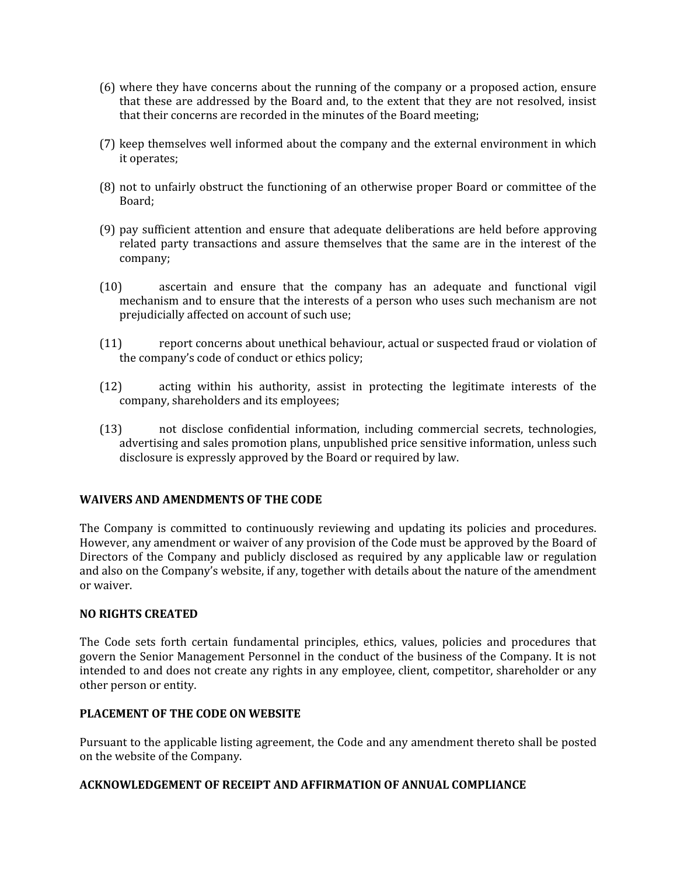- (6) where they have concerns about the running of the company or a proposed action, ensure that these are addressed by the Board and, to the extent that they are not resolved, insist that their concerns are recorded in the minutes of the Board meeting;
- (7) keep themselves well informed about the company and the external environment in which it operates;
- (8) not to unfairly obstruct the functioning of an otherwise proper Board or committee of the Board;
- (9) pay sufficient attention and ensure that adequate deliberations are held before approving related party transactions and assure themselves that the same are in the interest of the company;
- (10) ascertain and ensure that the company has an adequate and functional vigil mechanism and to ensure that the interests of a person who uses such mechanism are not prejudicially affected on account of such use;
- (11) report concerns about unethical behaviour, actual or suspected fraud or violation of the company's code of conduct or ethics policy;
- (12) acting within his authority, assist in protecting the legitimate interests of the company, shareholders and its employees;
- (13) not disclose confidential information, including commercial secrets, technologies, advertising and sales promotion plans, unpublished price sensitive information, unless such disclosure is expressly approved by the Board or required by law.

### **WAIVERS AND AMENDMENTS OF THE CODE**

The Company is committed to continuously reviewing and updating its policies and procedures. However, any amendment or waiver of any provision of the Code must be approved by the Board of Directors of the Company and publicly disclosed as required by any applicable law or regulation and also on the Company's website, if any, together with details about the nature of the amendment or waiver.

### **NO RIGHTS CREATED**

The Code sets forth certain fundamental principles, ethics, values, policies and procedures that govern the Senior Management Personnel in the conduct of the business of the Company. It is not intended to and does not create any rights in any employee, client, competitor, shareholder or any other person or entity.

## **PLACEMENT OF THE CODE ON WEBSITE**

Pursuant to the applicable listing agreement, the Code and any amendment thereto shall be posted on the website of the Company.

### **ACKNOWLEDGEMENT OF RECEIPT AND AFFIRMATION OF ANNUAL COMPLIANCE**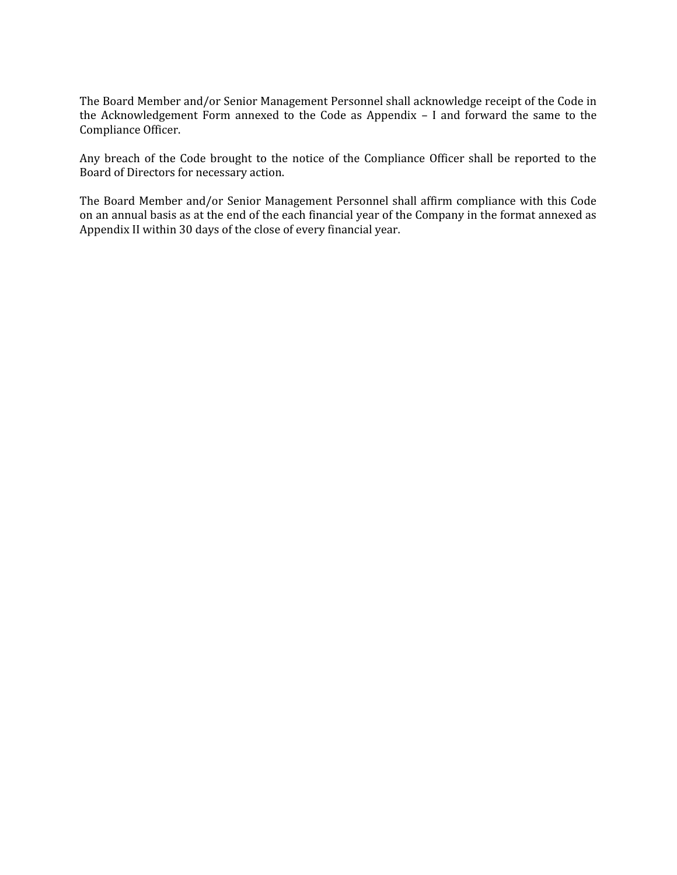The Board Member and/or Senior Management Personnel shall acknowledge receipt of the Code in the Acknowledgement Form annexed to the Code as Appendix – I and forward the same to the Compliance Officer.

Any breach of the Code brought to the notice of the Compliance Officer shall be reported to the Board of Directors for necessary action.

The Board Member and/or Senior Management Personnel shall affirm compliance with this Code on an annual basis as at the end of the each financial year of the Company in the format annexed as Appendix II within 30 days of the close of every financial year.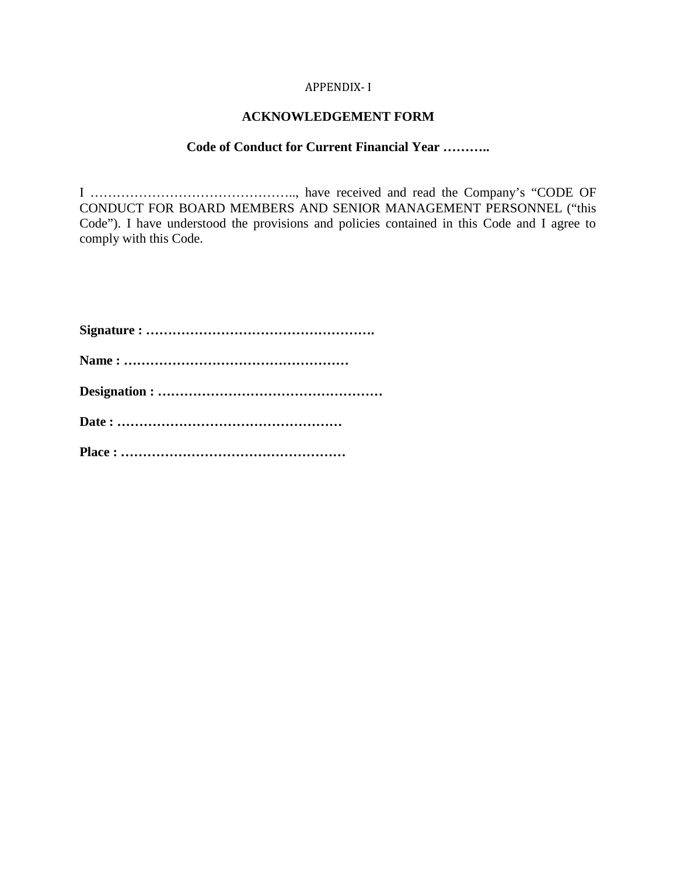### APPENDIX- I

# **ACKNOWLEDGEMENT FORM**

### **Code of Conduct for Current Financial Year ………..**

I ……………………………………….., have received and read the Company's "CODE OF CONDUCT FOR BOARD MEMBERS AND SENIOR MANAGEMENT PERSONNEL ("this Code"). I have understood the provisions and policies contained in this Code and I agree to comply with this Code.